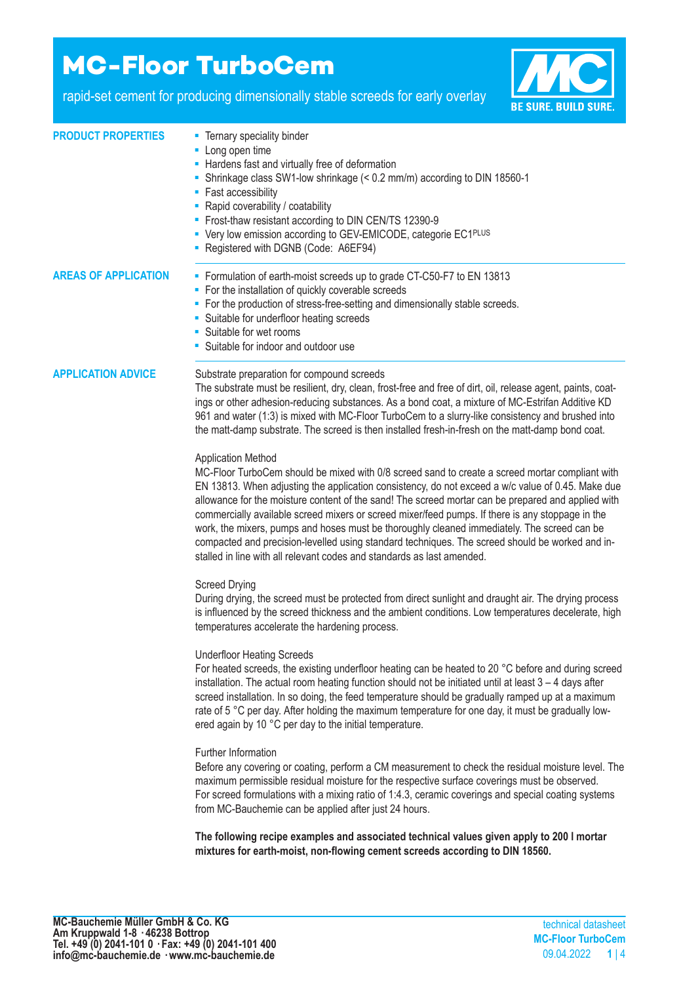# **MC-Floor TurboCem**

rapid-set cement for producing dimensionally stable screeds for early overlay



| <b>PRODUCT PROPERTIES</b>   | - Ternary speciality binder<br>- Long open time<br>- Hardens fast and virtually free of deformation<br>Shrinkage class SW1-low shrinkage (< 0.2 mm/m) according to DIN 18560-1<br>• Fast accessibility<br>- Rapid coverability / coatability<br>- Frost-thaw resistant according to DIN CEN/TS 12390-9<br>• Very low emission according to GEV-EMICODE, categorie EC1PLUS<br>- Registered with DGNB (Code: A6EF94)                                                                                                                                                                                                                                                                                                      |
|-----------------------------|-------------------------------------------------------------------------------------------------------------------------------------------------------------------------------------------------------------------------------------------------------------------------------------------------------------------------------------------------------------------------------------------------------------------------------------------------------------------------------------------------------------------------------------------------------------------------------------------------------------------------------------------------------------------------------------------------------------------------|
| <b>AREAS OF APPLICATION</b> | • Formulation of earth-moist screeds up to grade CT-C50-F7 to EN 13813<br>For the installation of quickly coverable screeds<br>ш<br>For the production of stress-free-setting and dimensionally stable screeds.<br>ш<br>• Suitable for underfloor heating screeds<br>• Suitable for wet rooms<br>• Suitable for indoor and outdoor use                                                                                                                                                                                                                                                                                                                                                                                  |
| <b>APPLICATION ADVICE</b>   | Substrate preparation for compound screeds<br>The substrate must be resilient, dry, clean, frost-free and free of dirt, oil, release agent, paints, coat-<br>ings or other adhesion-reducing substances. As a bond coat, a mixture of MC-Estrifan Additive KD<br>961 and water (1:3) is mixed with MC-Floor TurboCem to a slurry-like consistency and brushed into<br>the matt-damp substrate. The screed is then installed fresh-in-fresh on the matt-damp bond coat.                                                                                                                                                                                                                                                  |
|                             | <b>Application Method</b><br>MC-Floor TurboCem should be mixed with 0/8 screed sand to create a screed mortar compliant with<br>EN 13813. When adjusting the application consistency, do not exceed a w/c value of 0.45. Make due<br>allowance for the moisture content of the sand! The screed mortar can be prepared and applied with<br>commercially available screed mixers or screed mixer/feed pumps. If there is any stoppage in the<br>work, the mixers, pumps and hoses must be thoroughly cleaned immediately. The screed can be<br>compacted and precision-levelled using standard techniques. The screed should be worked and in-<br>stalled in line with all relevant codes and standards as last amended. |
|                             | <b>Screed Drying</b><br>During drying, the screed must be protected from direct sunlight and draught air. The drying process<br>is influenced by the screed thickness and the ambient conditions. Low temperatures decelerate, high<br>temperatures accelerate the hardening process.                                                                                                                                                                                                                                                                                                                                                                                                                                   |
|                             | <b>Underfloor Heating Screeds</b><br>For heated screeds, the existing underfloor heating can be heated to 20 °C before and during screed<br>installation. The actual room heating function should not be initiated until at least $3 - 4$ days after<br>screed installation. In so doing, the feed temperature should be gradually ramped up at a maximum<br>rate of 5 °C per day. After holding the maximum temperature for one day, it must be gradually low-<br>ered again by 10 °C per day to the initial temperature.                                                                                                                                                                                              |
|                             | Further Information<br>Before any covering or coating, perform a CM measurement to check the residual moisture level. The<br>maximum permissible residual moisture for the respective surface coverings must be observed.<br>For screed formulations with a mixing ratio of 1:4.3, ceramic coverings and special coating systems<br>from MC-Bauchemie can be applied after just 24 hours.                                                                                                                                                                                                                                                                                                                               |
|                             | The following recipe examples and associated technical values given apply to 200 I mortar<br>mixtures for earth-moist, non-flowing cement screeds according to DIN 18560.                                                                                                                                                                                                                                                                                                                                                                                                                                                                                                                                               |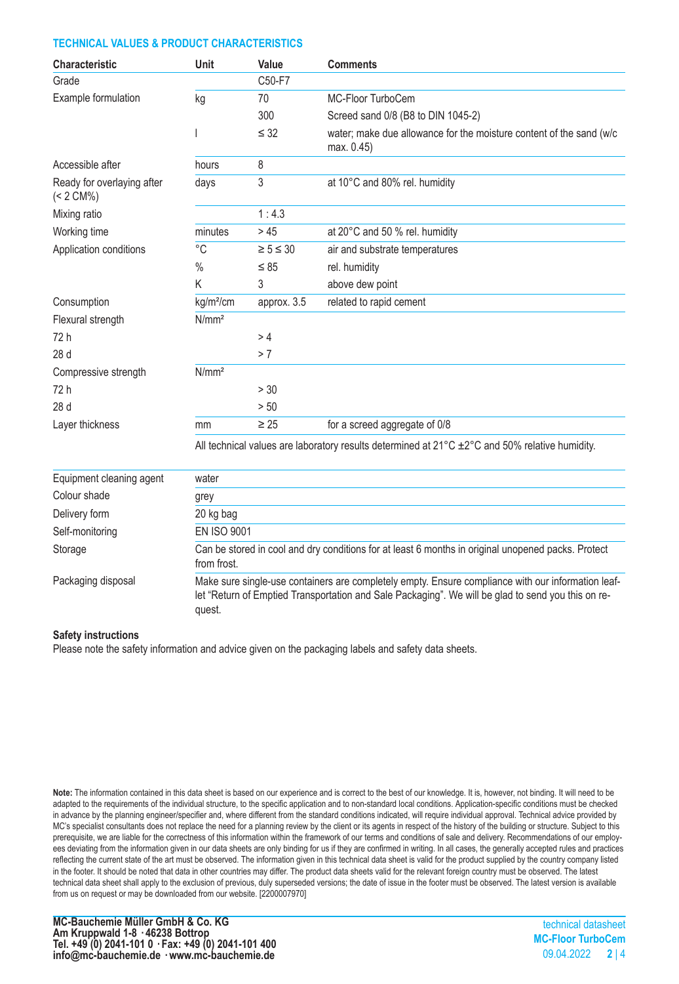# **TECHNICAL VALUES & PRODUCT CHARACTERISTICS**

| Characteristic                             | Unit                                                                                                                                                                                                               | Value            | <b>Comments</b>                                                                                                       |  |
|--------------------------------------------|--------------------------------------------------------------------------------------------------------------------------------------------------------------------------------------------------------------------|------------------|-----------------------------------------------------------------------------------------------------------------------|--|
| Grade                                      |                                                                                                                                                                                                                    | C50-F7           |                                                                                                                       |  |
| Example formulation                        | kg                                                                                                                                                                                                                 | 70               | MC-Floor TurboCem                                                                                                     |  |
|                                            |                                                                                                                                                                                                                    | 300              | Screed sand 0/8 (B8 to DIN 1045-2)                                                                                    |  |
|                                            |                                                                                                                                                                                                                    | $\leq$ 32        | water; make due allowance for the moisture content of the sand (w/c<br>max. 0.45)                                     |  |
| Accessible after                           | hours                                                                                                                                                                                                              | 8                |                                                                                                                       |  |
| Ready for overlaying after<br>$(< 2 CM\%)$ | days                                                                                                                                                                                                               | 3                | at 10°C and 80% rel. humidity                                                                                         |  |
| Mixing ratio                               |                                                                                                                                                                                                                    | 1:4.3            |                                                                                                                       |  |
| Working time                               | minutes                                                                                                                                                                                                            | >45              | at 20°C and 50 % rel. humidity                                                                                        |  |
| Application conditions                     | $^{\circ}C$                                                                                                                                                                                                        | $\geq 5 \leq 30$ | air and substrate temperatures                                                                                        |  |
|                                            | $\%$                                                                                                                                                                                                               | $\leq 85$        | rel. humidity                                                                                                         |  |
|                                            | K                                                                                                                                                                                                                  | 3                | above dew point                                                                                                       |  |
| Consumption                                | kg/m <sup>2</sup> /cm                                                                                                                                                                                              | approx. 3.5      | related to rapid cement                                                                                               |  |
| Flexural strength                          | N/mm <sup>2</sup>                                                                                                                                                                                                  |                  |                                                                                                                       |  |
| 72 h                                       |                                                                                                                                                                                                                    | > 4              |                                                                                                                       |  |
| 28 d                                       |                                                                                                                                                                                                                    | > 7              |                                                                                                                       |  |
| Compressive strength                       | N/mm <sup>2</sup>                                                                                                                                                                                                  |                  |                                                                                                                       |  |
| 72 h                                       |                                                                                                                                                                                                                    | > 30             |                                                                                                                       |  |
| 28 d                                       |                                                                                                                                                                                                                    | > 50             |                                                                                                                       |  |
| Layer thickness                            | mm                                                                                                                                                                                                                 | $\geq 25$        | for a screed aggregate of 0/8                                                                                         |  |
|                                            |                                                                                                                                                                                                                    |                  | All technical values are laboratory results determined at $21^{\circ}$ C $\pm 2^{\circ}$ C and 50% relative humidity. |  |
| Equipment cleaning agent                   | water                                                                                                                                                                                                              |                  |                                                                                                                       |  |
| Colour shade                               | grey                                                                                                                                                                                                               |                  |                                                                                                                       |  |
| Delivery form                              | 20 kg bag                                                                                                                                                                                                          |                  |                                                                                                                       |  |
| Self-monitoring                            | <b>EN ISO 9001</b>                                                                                                                                                                                                 |                  |                                                                                                                       |  |
| Storage                                    | Can be stored in cool and dry conditions for at least 6 months in original unopened packs. Protect<br>from frost.                                                                                                  |                  |                                                                                                                       |  |
| Packaging disposal                         | Make sure single-use containers are completely empty. Ensure compliance with our information leaf-<br>let "Return of Emptied Transportation and Sale Packaging". We will be glad to send you this on re-<br>quest. |                  |                                                                                                                       |  |

#### **Safety instructions**

Please note the safety information and advice given on the packaging labels and safety data sheets.

**Note:** The information contained in this data sheet is based on our experience and is correct to the best of our knowledge. It is, however, not binding. It will need to be adapted to the requirements of the individual structure, to the specific application and to non-standard local conditions. Application-specific conditions must be checked in advance by the planning engineer/specifier and, where different from the standard conditions indicated, will require individual approval. Technical advice provided by MC's specialist consultants does not replace the need for a planning review by the client or its agents in respect of the history of the building or structure. Subject to this prerequisite, we are liable for the correctness of this information within the framework of our terms and conditions of sale and delivery. Recommendations of our employees deviating from the information given in our data sheets are only binding for us if they are confirmed in writing. In all cases, the generally accepted rules and practices reflecting the current state of the art must be observed. The information given in this technical data sheet is valid for the product supplied by the country company listed in the footer. It should be noted that data in other countries may differ. The product data sheets valid for the relevant foreign country must be observed. The latest technical data sheet shall apply to the exclusion of previous, duly superseded versions; the date of issue in the footer must be observed. The latest version is available from us on request or may be downloaded from our website. [2200007970]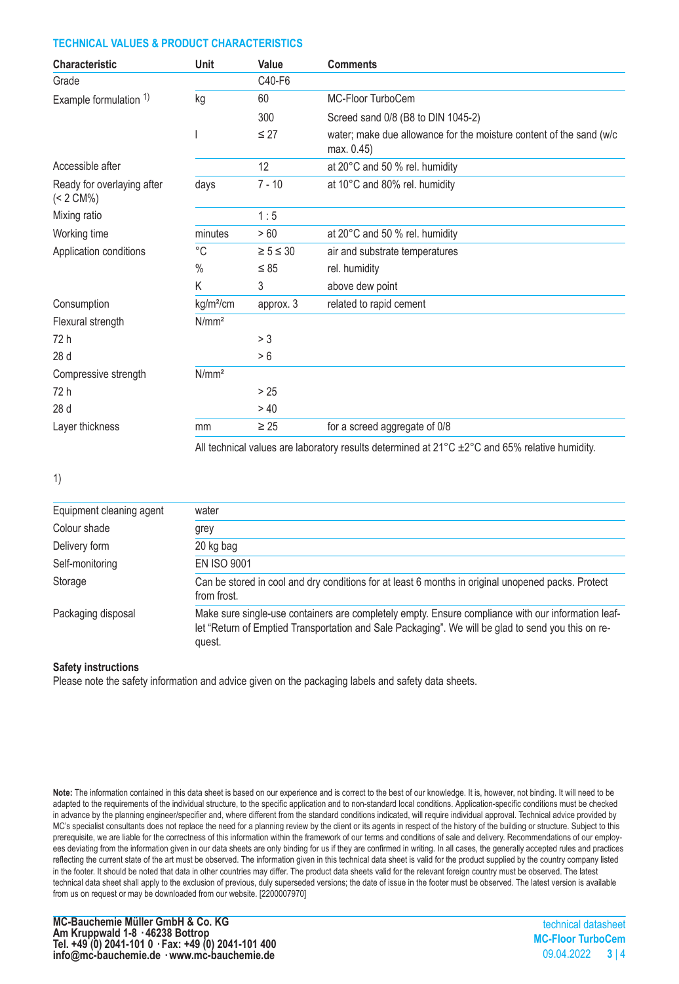## **TECHNICAL VALUES & PRODUCT CHARACTERISTICS**

| Unit                  | Value            | <b>Comments</b>                                                                   |
|-----------------------|------------------|-----------------------------------------------------------------------------------|
|                       | C40-F6           |                                                                                   |
| kg                    | 60               | MC-Floor TurboCem                                                                 |
|                       | 300              | Screed sand 0/8 (B8 to DIN 1045-2)                                                |
|                       | $\leq 27$        | water; make due allowance for the moisture content of the sand (w/c<br>max. 0.45) |
|                       | 12               | at 20°C and 50 % rel. humidity                                                    |
| days                  | $7 - 10$         | at 10°C and 80% rel. humidity                                                     |
|                       | 1:5              |                                                                                   |
| minutes               | >60              | at 20°C and 50 % rel. humidity                                                    |
| $^{\circ}$ C          | $\geq 5 \leq 30$ | air and substrate temperatures                                                    |
| $\%$                  | $\leq 85$        | rel. humidity                                                                     |
| Κ                     | 3                | above dew point                                                                   |
| kg/m <sup>2</sup> /cm | approx. 3        | related to rapid cement                                                           |
| N/mm <sup>2</sup>     |                  |                                                                                   |
|                       | > 3              |                                                                                   |
|                       | > 6              |                                                                                   |
| N/mm <sup>2</sup>     |                  |                                                                                   |
|                       | >25              |                                                                                   |
|                       | >40              |                                                                                   |
| mm                    | $\geq 25$        | for a screed aggregate of 0/8                                                     |
|                       |                  |                                                                                   |

All technical values are laboratory results determined at  $21^{\circ}$ C  $\pm 2^{\circ}$ C and 65% relative humidity.

1)

| Equipment cleaning agent | water                                                                                                                                                                                                              |
|--------------------------|--------------------------------------------------------------------------------------------------------------------------------------------------------------------------------------------------------------------|
| Colour shade             | grey                                                                                                                                                                                                               |
| Delivery form            | 20 kg bag                                                                                                                                                                                                          |
| Self-monitoring          | <b>EN ISO 9001</b>                                                                                                                                                                                                 |
| Storage                  | Can be stored in cool and dry conditions for at least 6 months in original unopened packs. Protect<br>from frost.                                                                                                  |
| Packaging disposal       | Make sure single-use containers are completely empty. Ensure compliance with our information leaf-<br>let "Return of Emptied Transportation and Sale Packaging". We will be glad to send you this on re-<br>quest. |

#### **Safety instructions**

Please note the safety information and advice given on the packaging labels and safety data sheets.

**Note:** The information contained in this data sheet is based on our experience and is correct to the best of our knowledge. It is, however, not binding. It will need to be adapted to the requirements of the individual structure, to the specific application and to non-standard local conditions. Application-specific conditions must be checked in advance by the planning engineer/specifier and, where different from the standard conditions indicated, will require individual approval. Technical advice provided by MC's specialist consultants does not replace the need for a planning review by the client or its agents in respect of the history of the building or structure. Subject to this prerequisite, we are liable for the correctness of this information within the framework of our terms and conditions of sale and delivery. Recommendations of our employees deviating from the information given in our data sheets are only binding for us if they are confirmed in writing. In all cases, the generally accepted rules and practices reflecting the current state of the art must be observed. The information given in this technical data sheet is valid for the product supplied by the country company listed in the footer. It should be noted that data in other countries may differ. The product data sheets valid for the relevant foreign country must be observed. The latest technical data sheet shall apply to the exclusion of previous, duly superseded versions; the date of issue in the footer must be observed. The latest version is available from us on request or may be downloaded from our website. [2200007970]